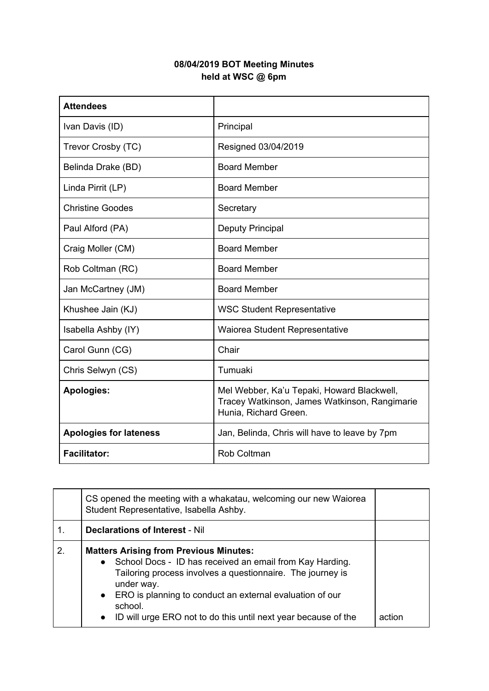## **08/04/2019 BOT Meeting Minutes held at WSC @ 6pm**

| <b>Attendees</b>              |                                                                                                                      |
|-------------------------------|----------------------------------------------------------------------------------------------------------------------|
| Ivan Davis (ID)               | Principal                                                                                                            |
| Trevor Crosby (TC)            | Resigned 03/04/2019                                                                                                  |
| Belinda Drake (BD)            | <b>Board Member</b>                                                                                                  |
| Linda Pirrit (LP)             | <b>Board Member</b>                                                                                                  |
| <b>Christine Goodes</b>       | Secretary                                                                                                            |
| Paul Alford (PA)              | <b>Deputy Principal</b>                                                                                              |
| Craig Moller (CM)             | <b>Board Member</b>                                                                                                  |
| Rob Coltman (RC)              | <b>Board Member</b>                                                                                                  |
| Jan McCartney (JM)            | <b>Board Member</b>                                                                                                  |
| Khushee Jain (KJ)             | <b>WSC Student Representative</b>                                                                                    |
| Isabella Ashby (IY)           | Waiorea Student Representative                                                                                       |
| Carol Gunn (CG)               | Chair                                                                                                                |
| Chris Selwyn (CS)             | Tumuaki                                                                                                              |
| <b>Apologies:</b>             | Mel Webber, Ka'u Tepaki, Howard Blackwell,<br>Tracey Watkinson, James Watkinson, Rangimarie<br>Hunia, Richard Green. |
| <b>Apologies for lateness</b> | Jan, Belinda, Chris will have to leave by 7pm                                                                        |
| <b>Facilitator:</b>           | <b>Rob Coltman</b>                                                                                                   |

|    | CS opened the meeting with a whakatau, welcoming our new Waiorea<br>Student Representative, Isabella Ashby.                                                                                                                                                                                                                                                |        |
|----|------------------------------------------------------------------------------------------------------------------------------------------------------------------------------------------------------------------------------------------------------------------------------------------------------------------------------------------------------------|--------|
| 1. | <b>Declarations of Interest - Nil</b>                                                                                                                                                                                                                                                                                                                      |        |
| 2. | <b>Matters Arising from Previous Minutes:</b><br>• School Docs - ID has received an email from Kay Harding.<br>Tailoring process involves a questionnaire. The journey is<br>under way.<br>ERO is planning to conduct an external evaluation of our<br>$\bullet$<br>school.<br>ID will urge ERO not to do this until next year because of the<br>$\bullet$ | action |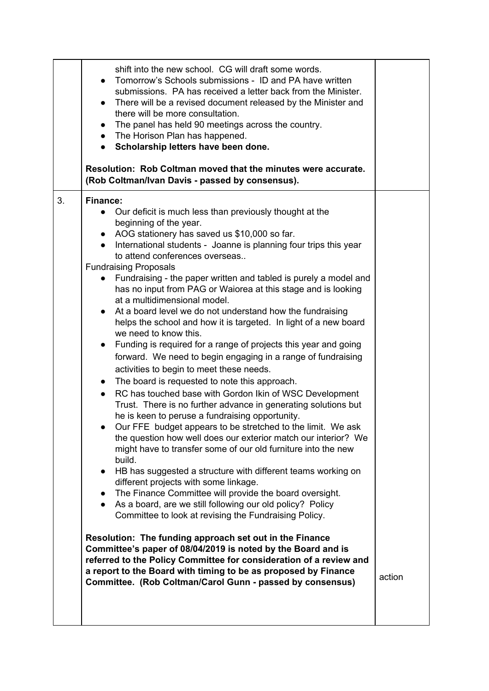|    | shift into the new school. CG will draft some words.<br>Tomorrow's Schools submissions - ID and PA have written<br>submissions. PA has received a letter back from the Minister.<br>There will be a revised document released by the Minister and<br>$\bullet$<br>there will be more consultation.<br>The panel has held 90 meetings across the country.<br>$\bullet$<br>• The Horison Plan has happened.<br>Scholarship letters have been done.<br>$\bullet$<br>Resolution: Rob Coltman moved that the minutes were accurate.<br>(Rob Coltman/Ivan Davis - passed by consensus).                                                                                                                                                                                                                                                                                                                                                                                                                                                                                                                                                                                                                                                                                                                                                                                                                                                                                                                                                                                                                                                                                                                                                                                                                                                                                                                                                                                          |        |
|----|----------------------------------------------------------------------------------------------------------------------------------------------------------------------------------------------------------------------------------------------------------------------------------------------------------------------------------------------------------------------------------------------------------------------------------------------------------------------------------------------------------------------------------------------------------------------------------------------------------------------------------------------------------------------------------------------------------------------------------------------------------------------------------------------------------------------------------------------------------------------------------------------------------------------------------------------------------------------------------------------------------------------------------------------------------------------------------------------------------------------------------------------------------------------------------------------------------------------------------------------------------------------------------------------------------------------------------------------------------------------------------------------------------------------------------------------------------------------------------------------------------------------------------------------------------------------------------------------------------------------------------------------------------------------------------------------------------------------------------------------------------------------------------------------------------------------------------------------------------------------------------------------------------------------------------------------------------------------------|--------|
| 3. | <b>Finance:</b><br>Our deficit is much less than previously thought at the<br>beginning of the year.<br>AOG stationery has saved us \$10,000 so far.<br>$\bullet$<br>International students - Joanne is planning four trips this year<br>$\bullet$<br>to attend conferences overseas<br><b>Fundraising Proposals</b><br>Fundraising - the paper written and tabled is purely a model and<br>$\bullet$<br>has no input from PAG or Waiorea at this stage and is looking<br>at a multidimensional model.<br>At a board level we do not understand how the fundraising<br>helps the school and how it is targeted. In light of a new board<br>we need to know this.<br>Funding is required for a range of projects this year and going<br>$\bullet$<br>forward. We need to begin engaging in a range of fundraising<br>activities to begin to meet these needs.<br>The board is requested to note this approach.<br>$\bullet$<br>RC has touched base with Gordon Ikin of WSC Development<br>Trust. There is no further advance in generating solutions but<br>he is keen to peruse a fundraising opportunity.<br>Our FFE budget appears to be stretched to the limit. We ask<br>the question how well does our exterior match our interior? We<br>might have to transfer some of our old furniture into the new<br>build.<br>HB has suggested a structure with different teams working on<br>$\bullet$<br>different projects with some linkage.<br>The Finance Committee will provide the board oversight.<br>As a board, are we still following our old policy? Policy<br>$\bullet$<br>Committee to look at revising the Fundraising Policy.<br>Resolution: The funding approach set out in the Finance<br>Committee's paper of 08/04/2019 is noted by the Board and is<br>referred to the Policy Committee for consideration of a review and<br>a report to the Board with timing to be as proposed by Finance<br>Committee. (Rob Coltman/Carol Gunn - passed by consensus) | action |
|    |                                                                                                                                                                                                                                                                                                                                                                                                                                                                                                                                                                                                                                                                                                                                                                                                                                                                                                                                                                                                                                                                                                                                                                                                                                                                                                                                                                                                                                                                                                                                                                                                                                                                                                                                                                                                                                                                                                                                                                            |        |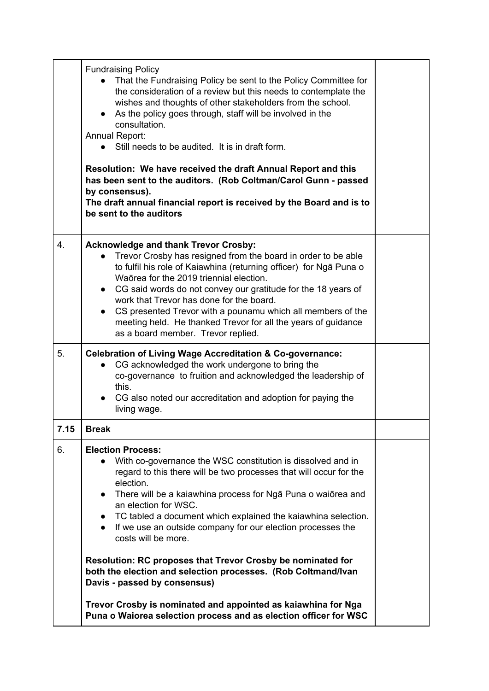|      | <b>Fundraising Policy</b><br>That the Fundraising Policy be sent to the Policy Committee for<br>the consideration of a review but this needs to contemplate the<br>wishes and thoughts of other stakeholders from the school.<br>• As the policy goes through, staff will be involved in the<br>consultation.<br>Annual Report:<br>• Still needs to be audited. It is in draft form.<br>Resolution: We have received the draft Annual Report and this<br>has been sent to the auditors. (Rob Coltman/Carol Gunn - passed<br>by consensus).<br>The draft annual financial report is received by the Board and is to<br>be sent to the auditors |  |
|------|-----------------------------------------------------------------------------------------------------------------------------------------------------------------------------------------------------------------------------------------------------------------------------------------------------------------------------------------------------------------------------------------------------------------------------------------------------------------------------------------------------------------------------------------------------------------------------------------------------------------------------------------------|--|
| 4.   | <b>Acknowledge and thank Trevor Crosby:</b><br>Trevor Crosby has resigned from the board in order to be able<br>to fulfil his role of Kaiawhina (returning officer) for Nga Puna o<br>Waōrea for the 2019 triennial election.<br>• CG said words do not convey our gratitude for the 18 years of<br>work that Trevor has done for the board.<br>CS presented Trevor with a pounamu which all members of the<br>meeting held. He thanked Trevor for all the years of guidance<br>as a board member. Trevor replied.                                                                                                                            |  |
| 5.   | <b>Celebration of Living Wage Accreditation &amp; Co-governance:</b><br>CG acknowledged the work undergone to bring the<br>co-governance to fruition and acknowledged the leadership of<br>this.<br>CG also noted our accreditation and adoption for paying the<br>living wage.                                                                                                                                                                                                                                                                                                                                                               |  |
| 7.15 | <b>Break</b>                                                                                                                                                                                                                                                                                                                                                                                                                                                                                                                                                                                                                                  |  |
| 6.   | <b>Election Process:</b><br>With co-governance the WSC constitution is dissolved and in<br>regard to this there will be two processes that will occur for the<br>election.<br>There will be a kaiawhina process for Nga Puna o waiorea and<br>$\bullet$<br>an election for WSC.<br>• TC tabled a document which explained the kaiawhina selection.<br>If we use an outside company for our election processes the<br>costs will be more.                                                                                                                                                                                                      |  |
|      | Resolution: RC proposes that Trevor Crosby be nominated for<br>both the election and selection processes. (Rob Coltmand/Ivan<br>Davis - passed by consensus)                                                                                                                                                                                                                                                                                                                                                                                                                                                                                  |  |
|      | Trevor Crosby is nominated and appointed as kaiawhina for Nga                                                                                                                                                                                                                                                                                                                                                                                                                                                                                                                                                                                 |  |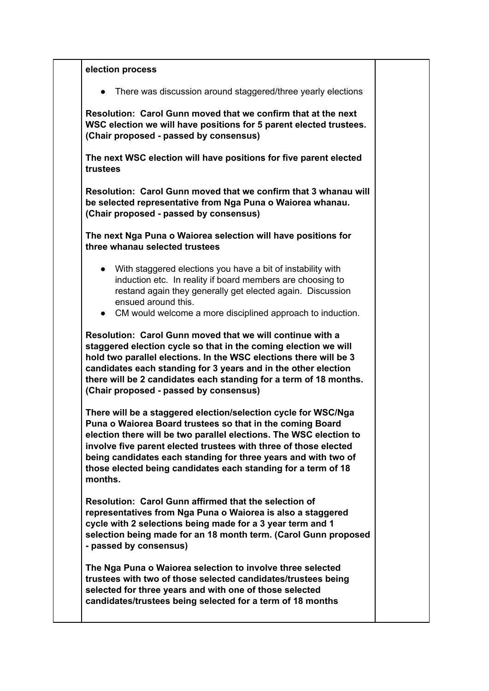**election process** • There was discussion around staggered/three yearly elections **Resolution: Carol Gunn moved that we confirm that at the next WSC election we will have positions for 5 parent elected trustees. (Chair proposed - passed by consensus) The next WSC election will have positions for five parent elected trustees Resolution: Carol Gunn moved that we confirm that 3 whanau will be selected representative from Nga Puna o Waiorea whanau. (Chair proposed - passed by consensus) The next Nga Puna o Waiorea selection will have positions for three whanau selected trustees** ● With staggered elections you have a bit of instability with induction etc. In reality if board members are choosing to restand again they generally get elected again. Discussion ensued around this. ● CM would welcome a more disciplined approach to induction. **Resolution: Carol Gunn moved that we will continue with a staggered election cycle so that in the coming election we will hold two parallel elections. In the WSC elections there will be 3 candidates each standing for 3 years and in the other election there will be 2 candidates each standing for a term of 18 months. (Chair proposed - passed by consensus) There will be a staggered election/selection cycle for WSC/Nga Puna o Waiorea Board trustees so that in the coming Board election there will be two parallel elections. The WSC election to involve five parent elected trustees with three of those elected being candidates each standing for three years and with two of those elected being candidates each standing for a term of 18 months. Resolution: Carol Gunn affirmed that the selection of representatives from Nga Puna o Waiorea is also a staggered cycle with 2 selections being made for a 3 year term and 1 selection being made for an 18 month term. (Carol Gunn proposed - passed by consensus) The Nga Puna o Waiorea selection to involve three selected trustees with two of those selected candidates/trustees being selected for three years and with one of those selected candidates/trustees being selected for a term of 18 months**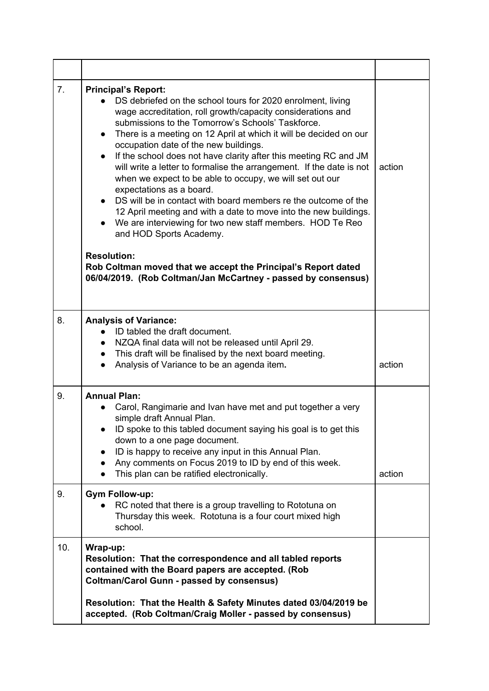| 7 <sub>1</sub> | <b>Principal's Report:</b><br>DS debriefed on the school tours for 2020 enrolment, living<br>wage accreditation, roll growth/capacity considerations and<br>submissions to the Tomorrow's Schools' Taskforce.<br>There is a meeting on 12 April at which it will be decided on our<br>$\bullet$<br>occupation date of the new buildings.<br>If the school does not have clarity after this meeting RC and JM<br>will write a letter to formalise the arrangement. If the date is not<br>when we expect to be able to occupy, we will set out our<br>expectations as a board.<br>DS will be in contact with board members re the outcome of the<br>12 April meeting and with a date to move into the new buildings.<br>We are interviewing for two new staff members. HOD Te Reo<br>and HOD Sports Academy.<br><b>Resolution:</b><br>Rob Coltman moved that we accept the Principal's Report dated<br>06/04/2019. (Rob Coltman/Jan McCartney - passed by consensus) | action |
|----------------|--------------------------------------------------------------------------------------------------------------------------------------------------------------------------------------------------------------------------------------------------------------------------------------------------------------------------------------------------------------------------------------------------------------------------------------------------------------------------------------------------------------------------------------------------------------------------------------------------------------------------------------------------------------------------------------------------------------------------------------------------------------------------------------------------------------------------------------------------------------------------------------------------------------------------------------------------------------------|--------|
| 8.             | <b>Analysis of Variance:</b><br>ID tabled the draft document.<br>NZQA final data will not be released until April 29.<br>This draft will be finalised by the next board meeting.<br>$\bullet$<br>Analysis of Variance to be an agenda item.                                                                                                                                                                                                                                                                                                                                                                                                                                                                                                                                                                                                                                                                                                                        | action |
| 9.<br>9.       | <b>Annual Plan:</b><br>Carol, Rangimarie and Ivan have met and put together a very<br>simple draft Annual Plan.<br>ID spoke to this tabled document saying his goal is to get this<br>down to a one page document.<br>ID is happy to receive any input in this Annual Plan.<br>Any comments on Focus 2019 to ID by end of this week.<br>This plan can be ratified electronically.<br><b>Gym Follow-up:</b>                                                                                                                                                                                                                                                                                                                                                                                                                                                                                                                                                         | action |
|                | RC noted that there is a group travelling to Rototuna on<br>Thursday this week. Rototuna is a four court mixed high<br>school.                                                                                                                                                                                                                                                                                                                                                                                                                                                                                                                                                                                                                                                                                                                                                                                                                                     |        |
| 10.            | Wrap-up:<br>Resolution: That the correspondence and all tabled reports<br>contained with the Board papers are accepted. (Rob<br><b>Coltman/Carol Gunn - passed by consensus)</b><br>Resolution: That the Health & Safety Minutes dated 03/04/2019 be<br>accepted. (Rob Coltman/Craig Moller - passed by consensus)                                                                                                                                                                                                                                                                                                                                                                                                                                                                                                                                                                                                                                                 |        |